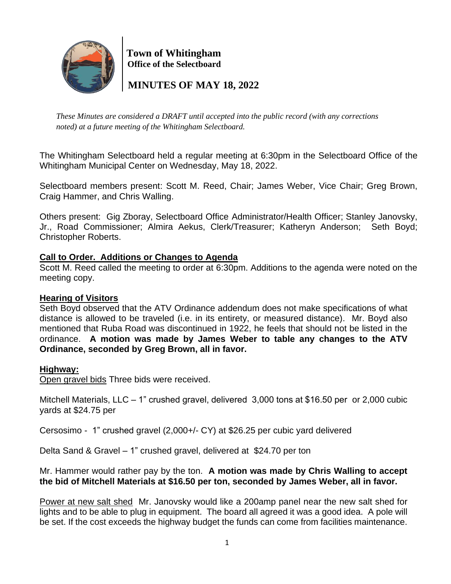

 **Town of Whitingham Office of the Selectboard**

 **MINUTES OF MAY 18, 2022**

*These Minutes are considered a DRAFT until accepted into the public record (with any corrections noted) at a future meeting of the Whitingham Selectboard.*

The Whitingham Selectboard held a regular meeting at 6:30pm in the Selectboard Office of the Whitingham Municipal Center on Wednesday, May 18, 2022.

Selectboard members present: Scott M. Reed, Chair; James Weber, Vice Chair; Greg Brown, Craig Hammer, and Chris Walling.

Others present: Gig Zboray, Selectboard Office Administrator/Health Officer; Stanley Janovsky, Jr., Road Commissioner; Almira Aekus, Clerk/Treasurer; Katheryn Anderson; Seth Boyd; Christopher Roberts.

# **Call to Order. Additions or Changes to Agenda**

Scott M. Reed called the meeting to order at 6:30pm. Additions to the agenda were noted on the meeting copy.

# **Hearing of Visitors**

Seth Boyd observed that the ATV Ordinance addendum does not make specifications of what distance is allowed to be traveled (i.e. in its entirety, or measured distance). Mr. Boyd also mentioned that Ruba Road was discontinued in 1922, he feels that should not be listed in the ordinance. **A motion was made by James Weber to table any changes to the ATV Ordinance, seconded by Greg Brown, all in favor.**

# **Highway:**

Open gravel bids Three bids were received.

Mitchell Materials, LLC – 1" crushed gravel, delivered 3,000 tons at \$16.50 per or 2,000 cubic yards at \$24.75 per

Cersosimo - 1" crushed gravel (2,000+/- CY) at \$26.25 per cubic yard delivered

Delta Sand & Gravel – 1" crushed gravel, delivered at \$24.70 per ton

## Mr. Hammer would rather pay by the ton. **A motion was made by Chris Walling to accept the bid of Mitchell Materials at \$16.50 per ton, seconded by James Weber, all in favor.**

Power at new salt shed Mr. Janovsky would like a 200amp panel near the new salt shed for lights and to be able to plug in equipment. The board all agreed it was a good idea. A pole will be set. If the cost exceeds the highway budget the funds can come from facilities maintenance.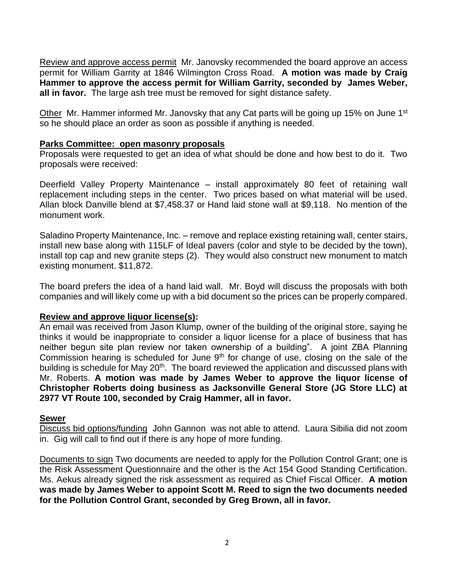Review and approve access permit Mr. Janovsky recommended the board approve an access permit for William Garrity at 1846 Wilmington Cross Road. **A motion was made by Craig Hammer to approve the access permit for William Garrity, seconded by James Weber,**  all in favor. The large ash tree must be removed for sight distance safety.

Other Mr. Hammer informed Mr. Janovsky that any Cat parts will be going up 15% on June 1<sup>st</sup> so he should place an order as soon as possible if anything is needed.

#### **Parks Committee: open masonry proposals**

Proposals were requested to get an idea of what should be done and how best to do it. Two proposals were received:

Deerfield Valley Property Maintenance – install approximately 80 feet of retaining wall replacement including steps in the center. Two prices based on what material will be used. Allan block Danville blend at \$7,458.37 or Hand laid stone wall at \$9,118. No mention of the monument work.

Saladino Property Maintenance, Inc. – remove and replace existing retaining wall, center stairs, install new base along with 115LF of Ideal pavers (color and style to be decided by the town), install top cap and new granite steps (2). They would also construct new monument to match existing monument. \$11,872.

The board prefers the idea of a hand laid wall. Mr. Boyd will discuss the proposals with both companies and will likely come up with a bid document so the prices can be properly compared.

## **Review and approve liquor license(s):**

An email was received from Jason Klump, owner of the building of the original store, saying he thinks it would be inappropriate to consider a liquor license for a place of business that has neither begun site plan review nor taken ownership of a building". A joint ZBA Planning Commission hearing is scheduled for June  $9<sup>th</sup>$  for change of use, closing on the sale of the building is schedule for May 20<sup>th</sup>. The board reviewed the application and discussed plans with Mr. Roberts. **A motion was made by James Weber to approve the liquor license of Christopher Roberts doing business as Jacksonville General Store (JG Store LLC) at 2977 VT Route 100, seconded by Craig Hammer, all in favor.**

#### **Sewer**

Discuss bid options/funding John Gannon was not able to attend. Laura Sibilia did not zoom in. Gig will call to find out if there is any hope of more funding.

Documents to sign Two documents are needed to apply for the Pollution Control Grant; one is the Risk Assessment Questionnaire and the other is the Act 154 Good Standing Certification. Ms. Aekus already signed the risk assessment as required as Chief Fiscal Officer. **A motion was made by James Weber to appoint Scott M. Reed to sign the two documents needed for the Pollution Control Grant, seconded by Greg Brown, all in favor.**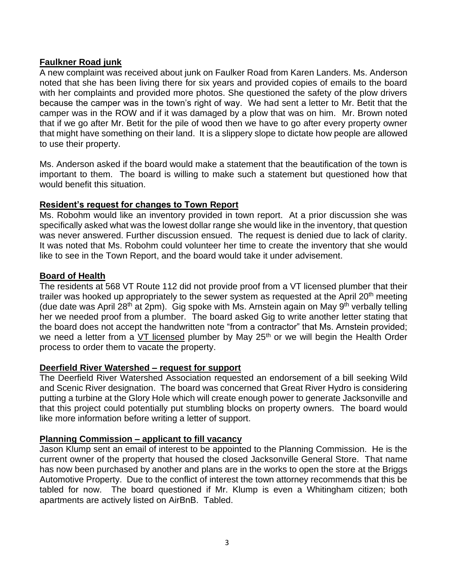## **Faulkner Road junk**

A new complaint was received about junk on Faulker Road from Karen Landers. Ms. Anderson noted that she has been living there for six years and provided copies of emails to the board with her complaints and provided more photos. She questioned the safety of the plow drivers because the camper was in the town's right of way. We had sent a letter to Mr. Betit that the camper was in the ROW and if it was damaged by a plow that was on him. Mr. Brown noted that if we go after Mr. Betit for the pile of wood then we have to go after every property owner that might have something on their land. It is a slippery slope to dictate how people are allowed to use their property.

Ms. Anderson asked if the board would make a statement that the beautification of the town is important to them. The board is willing to make such a statement but questioned how that would benefit this situation.

## **Resident's request for changes to Town Report**

Ms. Robohm would like an inventory provided in town report. At a prior discussion she was specifically asked what was the lowest dollar range she would like in the inventory, that question was never answered. Further discussion ensued. The request is denied due to lack of clarity. It was noted that Ms. Robohm could volunteer her time to create the inventory that she would like to see in the Town Report, and the board would take it under advisement.

## **Board of Health**

The residents at 568 VT Route 112 did not provide proof from a VT licensed plumber that their trailer was hooked up appropriately to the sewer system as requested at the April 20<sup>th</sup> meeting (due date was April 28<sup>th</sup> at 2pm). Gig spoke with Ms. Arnstein again on May 9<sup>th</sup> verbally telling her we needed proof from a plumber. The board asked Gig to write another letter stating that the board does not accept the handwritten note "from a contractor" that Ms. Arnstein provided; we need a letter from a VT licensed plumber by May 25<sup>th</sup> or we will begin the Health Order process to order them to vacate the property.

## **Deerfield River Watershed – request for support**

The Deerfield River Watershed Association requested an endorsement of a bill seeking Wild and Scenic River designation. The board was concerned that Great River Hydro is considering putting a turbine at the Glory Hole which will create enough power to generate Jacksonville and that this project could potentially put stumbling blocks on property owners. The board would like more information before writing a letter of support.

## **Planning Commission – applicant to fill vacancy**

Jason Klump sent an email of interest to be appointed to the Planning Commission. He is the current owner of the property that housed the closed Jacksonville General Store. That name has now been purchased by another and plans are in the works to open the store at the Briggs Automotive Property. Due to the conflict of interest the town attorney recommends that this be tabled for now. The board questioned if Mr. Klump is even a Whitingham citizen; both apartments are actively listed on AirBnB. Tabled.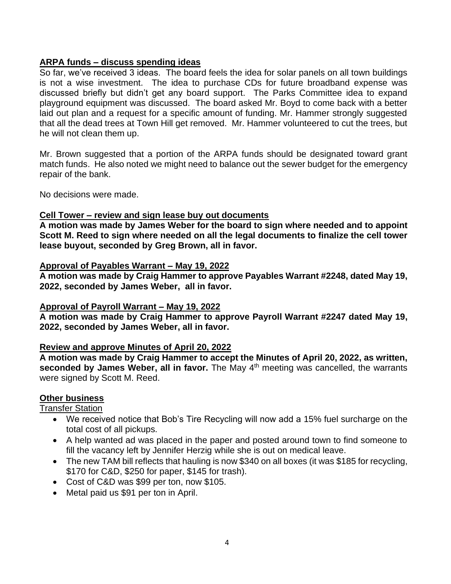# **ARPA funds – discuss spending ideas**

So far, we've received 3 ideas. The board feels the idea for solar panels on all town buildings is not a wise investment. The idea to purchase CDs for future broadband expense was discussed briefly but didn't get any board support. The Parks Committee idea to expand playground equipment was discussed. The board asked Mr. Boyd to come back with a better laid out plan and a request for a specific amount of funding. Mr. Hammer strongly suggested that all the dead trees at Town Hill get removed. Mr. Hammer volunteered to cut the trees, but he will not clean them up.

Mr. Brown suggested that a portion of the ARPA funds should be designated toward grant match funds. He also noted we might need to balance out the sewer budget for the emergency repair of the bank.

No decisions were made.

## **Cell Tower – review and sign lease buy out documents**

**A motion was made by James Weber for the board to sign where needed and to appoint Scott M. Reed to sign where needed on all the legal documents to finalize the cell tower lease buyout, seconded by Greg Brown, all in favor.**

#### **Approval of Payables Warrant – May 19, 2022**

**A motion was made by Craig Hammer to approve Payables Warrant #2248, dated May 19, 2022, seconded by James Weber, all in favor.**

## **Approval of Payroll Warrant – May 19, 2022**

**A motion was made by Craig Hammer to approve Payroll Warrant #2247 dated May 19, 2022, seconded by James Weber, all in favor.**

## **Review and approve Minutes of April 20, 2022**

**A motion was made by Craig Hammer to accept the Minutes of April 20, 2022, as written, seconded by James Weber, all in favor.** The May 4<sup>th</sup> meeting was cancelled, the warrants were signed by Scott M. Reed.

## **Other business**

Transfer Station

- We received notice that Bob's Tire Recycling will now add a 15% fuel surcharge on the total cost of all pickups.
- A help wanted ad was placed in the paper and posted around town to find someone to fill the vacancy left by Jennifer Herzig while she is out on medical leave.
- The new TAM bill reflects that hauling is now \$340 on all boxes (it was \$185 for recycling, \$170 for C&D, \$250 for paper, \$145 for trash).
- Cost of C&D was \$99 per ton, now \$105.
- Metal paid us \$91 per ton in April.